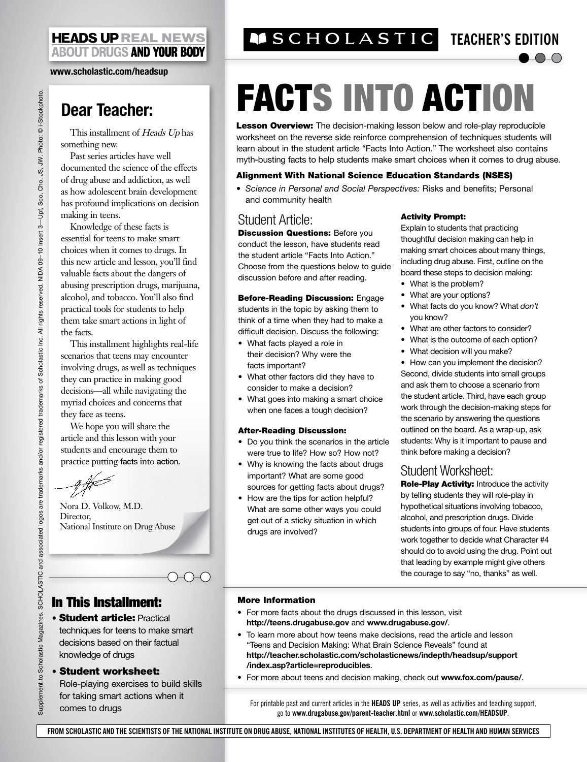#### **HEADS UP REAL NEWS ABOUT DRUGS AND YOUR BODY**

**www.scholastic.com/headsup**

# **Dear Teacher:**

This installment of Heads Up has something new.

Past series articles have well documented the science of the effects of drug abuse and addiction, as well as how adolescent brain development has profound implications on decision making in teens.

Knowledge of these facts is essential for teens to make smart choices when it comes to drugs. In this new article and lesson, you'll find valuable facts about the dangers of abusing prescription drugs, marijuana, alcohol, and tobacco. You'll also find practical tools for students to help them take smart actions in light of the facts.

This installment highlights real-life scenarios that teens may encounter involving drugs, as well as techniques they can practice in making good decisions—all while navigating the myriad choices and concerns that they face as teens.

We hope you will share the article and this lesson with your students and encourage them to

practice putting facts into action.<br> *Aft* 

Nora D. Volkow, M.D. Director, National Institute on Drug Abuse

## In This Installment:

• Student article: Practical techniques for teens to make smart decisions based on their factual knowledge of drugs

 $\bigcirc\circ\bigcirc$ 

#### • Student worksheet:

Role-playing exercises to build skills for taking smart actions when it comes to drugs

# **TEACHER'S EDITION**

# FACTS INTO ACTION

**Lesson Overview:** The decision-making lesson below and role-play reproducible worksheet on the reverse side reinforce comprehension of techniques students will learn about in the student article "Facts Into Action." The worksheet also contains myth-busting facts to help students make smart choices when it comes to drug abuse.

#### Alignment With National Science Education Standards (NSES)

• *Science in Personal and Social Perspectives:* Risks and benefits; Personal and community health

### Student Article:

**Discussion Questions: Before you** conduct the lesson, have students read the student article "Facts Into Action." Choose from the questions below to guide discussion before and after reading.

**Before-Reading Discussion: Engage** students in the topic by asking them to think of a time when they had to make a difficult decision. Discuss the following:

- What facts played a role in their decision? Why were the facts important?
- What other factors did they have to consider to make a decision?
- What goes into making a smart choice when one faces a tough decision?

#### After-Reading Discussion:

- Do you think the scenarios in the article were true to life? How so? How not?
- Why is knowing the facts about drugs important? What are some good sources for getting facts about drugs?
- How are the tips for action helpful? What are some other ways you could get out of a sticky situation in which drugs are involved?

#### Activity Prompt:

Explain to students that practicing thoughtful decision making can help in making smart choices about many things, including drug abuse. First, outline on the board these steps to decision making:

 $\bullet$  0-0

- What is the problem?
- What are your options?
- • What facts do you know? What *don't* you know?
- • What are other factors to consider?
- What is the outcome of each option?
- What decision will you make?

• How can you implement the decision? Second, divide students into small groups and ask them to choose a scenario from the student article. Third, have each group work through the decision-making steps for the scenario by answering the questions outlined on the board. As a wrap-up, ask students: Why is it important to pause and think before making a decision?

## Student Worksheet:

Role-Play Activity: Introduce the activity by telling students they will role-play in hypothetical situations involving tobacco, alcohol, and prescription drugs. Divide students into groups of four. Have students work together to decide what Character #4 should do to avoid using the drug. Point out that leading by example might give others the courage to say "no, thanks" as well.

#### More Information

- For more facts about the drugs discussed in this lesson, visit **http://teens.drugabuse.gov** and **www.drugabuse.gov/**.
- To learn more about how teens make decisions, read the article and lesson "Teens and Decision Making: What Brain Science Reveals" found at **http://teacher.scholastic.com/scholasticnews/indepth/headsup/support /index.asp?article=reproducibles**.
- • For more about teens and decision making, check out **www.fox.com/pause/**.

For printable past and current articles in the **HEADS UP** series, as well as activities and teaching support, go to **www.drugabuse.gov/parent-teacher.html** or **www.scholastic.com/headsup**.

**From Scholastic and the Scientists of the National Institute on Drug Abuse, National Institutes of Health, U.S. Department of Health and Human Services**